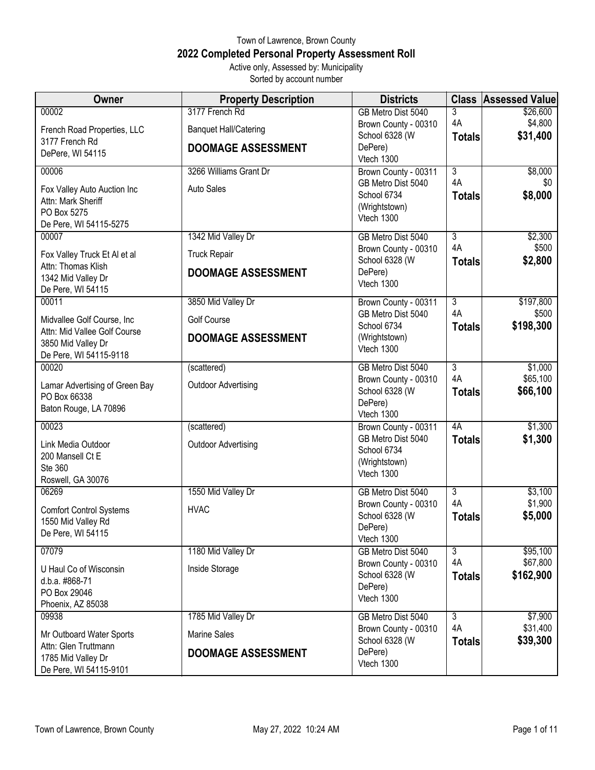## Town of Lawrence, Brown County **2022 Completed Personal Property Assessment Roll** Active only, Assessed by: Municipality

Sorted by account number

| Owner                                                                                      | <b>Property Description</b>                    | <b>Districts</b>                                                 |                          | <b>Class Assessed Value</b>     |
|--------------------------------------------------------------------------------------------|------------------------------------------------|------------------------------------------------------------------|--------------------------|---------------------------------|
| 00002<br>French Road Properties, LLC<br>3177 French Rd                                     | 3177 French Rd<br><b>Banquet Hall/Catering</b> | GB Metro Dist 5040<br>Brown County - 00310<br>School 6328 (W     | 3<br>4A<br><b>Totals</b> | \$26,600<br>\$4,800<br>\$31,400 |
| DePere, WI 54115                                                                           | <b>DOOMAGE ASSESSMENT</b>                      | DePere)<br>Vtech 1300                                            |                          |                                 |
| 00006                                                                                      | 3266 Williams Grant Dr                         | Brown County - 00311<br>GB Metro Dist 5040                       | 3<br>4A                  | \$8,000<br>\$0                  |
| Fox Valley Auto Auction Inc<br>Attn: Mark Sheriff<br>PO Box 5275<br>De Pere, WI 54115-5275 | <b>Auto Sales</b>                              | School 6734<br>(Wrightstown)<br>Vtech 1300                       | <b>Totals</b>            | \$8,000                         |
| 00007                                                                                      | 1342 Mid Valley Dr                             | GB Metro Dist 5040<br>Brown County - 00310                       | $\overline{3}$<br>4A     | \$2,300<br>\$500                |
| Fox Valley Truck Et Al et al<br>Attn: Thomas Klish                                         | <b>Truck Repair</b>                            | School 6328 (W                                                   | <b>Totals</b>            | \$2,800                         |
| 1342 Mid Valley Dr<br>De Pere, WI 54115                                                    | <b>DOOMAGE ASSESSMENT</b>                      | DePere)<br>Vtech 1300                                            |                          |                                 |
| 00011                                                                                      | 3850 Mid Valley Dr                             | Brown County - 00311<br>GB Metro Dist 5040                       | $\overline{3}$<br>4A     | \$197,800<br>\$500              |
| Midvallee Golf Course, Inc<br>Attn: Mid Vallee Golf Course                                 | <b>Golf Course</b>                             | School 6734                                                      | <b>Totals</b>            | \$198,300                       |
| 3850 Mid Valley Dr<br>De Pere, WI 54115-9118                                               | <b>DOOMAGE ASSESSMENT</b>                      | (Wrightstown)<br>Vtech 1300                                      |                          |                                 |
| 00020                                                                                      | (scattered)                                    | GB Metro Dist 5040                                               | 3<br>4A                  | \$1,000<br>\$65,100             |
| Lamar Advertising of Green Bay<br>PO Box 66338<br>Baton Rouge, LA 70896                    | <b>Outdoor Advertising</b>                     | Brown County - 00310<br>School 6328 (W<br>DePere)<br>Vtech 1300  | <b>Totals</b>            | \$66,100                        |
| 00023                                                                                      | (scattered)                                    | Brown County - 00311                                             | 4A                       | \$1,300                         |
| Link Media Outdoor<br>200 Mansell Ct E<br>Ste 360<br>Roswell, GA 30076                     | <b>Outdoor Advertising</b>                     | GB Metro Dist 5040<br>School 6734<br>(Wrightstown)<br>Vtech 1300 | <b>Totals</b>            | \$1,300                         |
| 06269                                                                                      | 1550 Mid Valley Dr                             | GB Metro Dist 5040                                               | $\overline{3}$           | \$3,100                         |
| <b>Comfort Control Systems</b><br>1550 Mid Valley Rd<br>De Pere, WI 54115                  | <b>HVAC</b>                                    | Brown County - 00310<br>School 6328 (W<br>DePere)<br>Vtech 1300  | 4A<br><b>Totals</b>      | \$1,900<br>\$5,000              |
| 07079                                                                                      | 1180 Mid Valley Dr                             | GB Metro Dist 5040                                               | 3                        | \$95,100                        |
| U Haul Co of Wisconsin<br>d.b.a. #868-71<br>PO Box 29046<br>Phoenix, AZ 85038              | Inside Storage                                 | Brown County - 00310<br>School 6328 (W<br>DePere)<br>Vtech 1300  | 4A<br><b>Totals</b>      | \$67,800<br>\$162,900           |
| 09938                                                                                      | 1785 Mid Valley Dr                             | GB Metro Dist 5040                                               | $\overline{3}$<br>4A     | \$7,900<br>\$31,400             |
| Mr Outboard Water Sports                                                                   | <b>Marine Sales</b>                            | Brown County - 00310<br>School 6328 (W                           | <b>Totals</b>            | \$39,300                        |
| Attn: Glen Truttmann<br>1785 Mid Valley Dr<br>De Pere, WI 54115-9101                       | <b>DOOMAGE ASSESSMENT</b>                      | DePere)<br>Vtech 1300                                            |                          |                                 |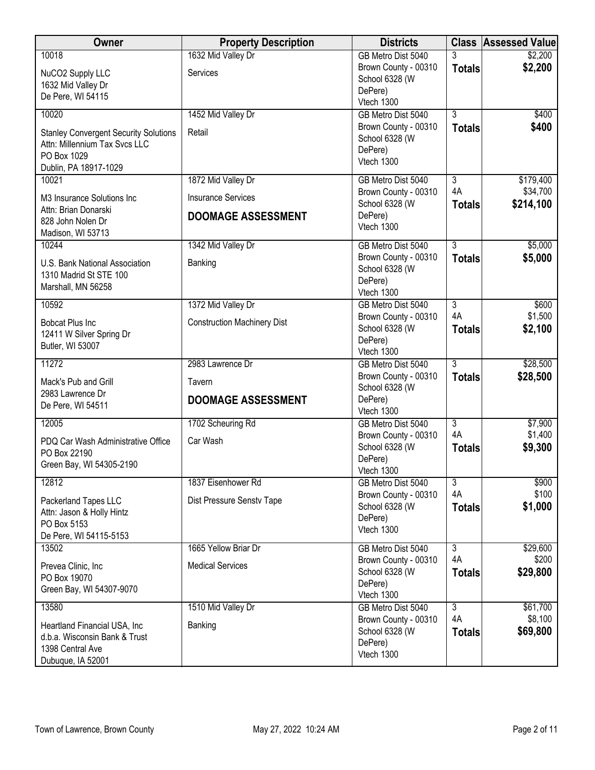| Owner                                                                                                                 | <b>Property Description</b>        | <b>Districts</b>                                                |                      | <b>Class Assessed Value</b> |
|-----------------------------------------------------------------------------------------------------------------------|------------------------------------|-----------------------------------------------------------------|----------------------|-----------------------------|
| 10018                                                                                                                 | 1632 Mid Valley Dr                 | GB Metro Dist 5040<br>Brown County - 00310                      | 3<br><b>Totals</b>   | \$2,200<br>\$2,200          |
| NuCO2 Supply LLC<br>1632 Mid Valley Dr<br>De Pere, WI 54115                                                           | Services                           | School 6328 (W<br>DePere)<br>Vtech 1300                         |                      |                             |
| 10020                                                                                                                 | 1452 Mid Valley Dr                 | GB Metro Dist 5040                                              | 3                    | \$400                       |
| <b>Stanley Convergent Security Solutions</b><br>Attn: Millennium Tax Svcs LLC<br>PO Box 1029<br>Dublin, PA 18917-1029 | Retail                             | Brown County - 00310<br>School 6328 (W<br>DePere)<br>Vtech 1300 | <b>Totals</b>        | \$400                       |
| 10021                                                                                                                 | 1872 Mid Valley Dr                 | GB Metro Dist 5040                                              | $\overline{3}$<br>4A | \$179,400                   |
| M3 Insurance Solutions Inc<br>Attn: Brian Donarski                                                                    | <b>Insurance Services</b>          | Brown County - 00310<br>School 6328 (W                          | <b>Totals</b>        | \$34,700<br>\$214,100       |
| 828 John Nolen Dr<br>Madison, WI 53713                                                                                | <b>DOOMAGE ASSESSMENT</b>          | DePere)<br>Vtech 1300                                           |                      |                             |
| 10244                                                                                                                 | 1342 Mid Valley Dr                 | GB Metro Dist 5040                                              | $\overline{3}$       | \$5,000                     |
| U.S. Bank National Association<br>1310 Madrid St STE 100<br>Marshall, MN 56258                                        | Banking                            | Brown County - 00310<br>School 6328 (W<br>DePere)<br>Vtech 1300 | <b>Totals</b>        | \$5,000                     |
| 10592                                                                                                                 | 1372 Mid Valley Dr                 | GB Metro Dist 5040                                              | $\overline{3}$       | \$600                       |
| <b>Bobcat Plus Inc</b><br>12411 W Silver Spring Dr<br>Butler, WI 53007                                                | <b>Construction Machinery Dist</b> | Brown County - 00310<br>School 6328 (W<br>DePere)<br>Vtech 1300 | 4A<br><b>Totals</b>  | \$1,500<br>\$2,100          |
| 11272                                                                                                                 | 2983 Lawrence Dr                   | GB Metro Dist 5040                                              | $\overline{3}$       | \$28,500                    |
| Mack's Pub and Grill                                                                                                  | Tavern                             | Brown County - 00310<br>School 6328 (W                          | <b>Totals</b>        | \$28,500                    |
| 2983 Lawrence Dr<br>De Pere, WI 54511                                                                                 | <b>DOOMAGE ASSESSMENT</b>          | DePere)<br>Vtech 1300                                           |                      |                             |
| 12005                                                                                                                 | 1702 Scheuring Rd                  | GB Metro Dist 5040                                              | $\overline{3}$       | \$7,900                     |
| PDQ Car Wash Administrative Office<br>PO Box 22190<br>Green Bay, WI 54305-2190                                        | Car Wash                           | Brown County - 00310<br>School 6328 (W<br>DePere)               | 4A<br><b>Totals</b>  | \$1,400<br>\$9,300          |
| 12812                                                                                                                 | 1837 Eisenhower Rd                 | Vtech 1300                                                      | $\overline{3}$       | \$900                       |
|                                                                                                                       |                                    | GB Metro Dist 5040<br>Brown County - 00310                      | 4A                   | \$100                       |
| Packerland Tapes LLC<br>Attn: Jason & Holly Hintz                                                                     | Dist Pressure Senstv Tape          | School 6328 (W                                                  | <b>Totals</b>        | \$1,000                     |
| PO Box 5153                                                                                                           |                                    | DePere)<br>Vtech 1300                                           |                      |                             |
| De Pere, WI 54115-5153                                                                                                |                                    |                                                                 |                      |                             |
| 13502                                                                                                                 | 1665 Yellow Briar Dr               | GB Metro Dist 5040<br>Brown County - 00310                      | $\overline{3}$<br>4A | \$29,600<br>\$200           |
| Prevea Clinic, Inc<br>PO Box 19070                                                                                    | <b>Medical Services</b>            | School 6328 (W                                                  | <b>Totals</b>        | \$29,800                    |
| Green Bay, WI 54307-9070                                                                                              |                                    | DePere)<br>Vtech 1300                                           |                      |                             |
| 13580                                                                                                                 | 1510 Mid Valley Dr                 | GB Metro Dist 5040                                              | $\overline{3}$       | \$61,700                    |
| Heartland Financial USA, Inc                                                                                          | Banking                            | Brown County - 00310                                            | 4A                   | \$8,100                     |
| d.b.a. Wisconsin Bank & Trust                                                                                         |                                    | School 6328 (W<br>DePere)                                       | <b>Totals</b>        | \$69,800                    |
| 1398 Central Ave<br>Dubuque, IA 52001                                                                                 |                                    | Vtech 1300                                                      |                      |                             |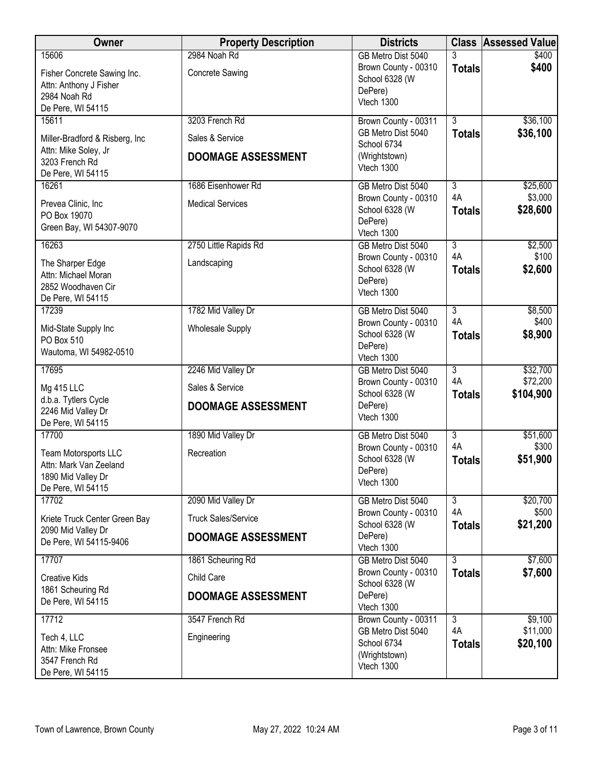| Owner                                                                                     | <b>Property Description</b> | <b>Districts</b>                                                 |                           | <b>Class Assessed Value</b> |
|-------------------------------------------------------------------------------------------|-----------------------------|------------------------------------------------------------------|---------------------------|-----------------------------|
| 15606                                                                                     | 2984 Noah Rd                | GB Metro Dist 5040                                               |                           | \$400                       |
| Fisher Concrete Sawing Inc.<br>Attn: Anthony J Fisher<br>2984 Noah Rd                     | <b>Concrete Sawing</b>      | Brown County - 00310<br>School 6328 (W<br>DePere)<br>Vtech 1300  | <b>Totals</b>             | \$400                       |
| De Pere, WI 54115<br>15611                                                                | 3203 French Rd              | Brown County - 00311                                             | $\overline{3}$            | \$36,100                    |
| Miller-Bradford & Risberg, Inc.                                                           | Sales & Service             | GB Metro Dist 5040<br>School 6734                                | <b>Totals</b>             | \$36,100                    |
| Attn: Mike Soley, Jr<br>3203 French Rd<br>De Pere, WI 54115                               | <b>DOOMAGE ASSESSMENT</b>   | (Wrightstown)<br>Vtech 1300                                      |                           |                             |
| 16261                                                                                     | 1686 Eisenhower Rd          | GB Metro Dist 5040                                               | $\overline{3}$            | \$25,600                    |
| Prevea Clinic, Inc.<br>PO Box 19070<br>Green Bay, WI 54307-9070                           | <b>Medical Services</b>     | Brown County - 00310<br>School 6328 (W<br>DePere)<br>Vtech 1300  | 4A<br><b>Totals</b>       | \$3,000<br>\$28,600         |
| 16263                                                                                     | 2750 Little Rapids Rd       | GB Metro Dist 5040                                               | $\overline{3}$            | \$2,500                     |
| The Sharper Edge<br>Attn: Michael Moran<br>2852 Woodhaven Cir<br>De Pere, WI 54115        | Landscaping                 | Brown County - 00310<br>School 6328 (W<br>DePere)<br>Vtech 1300  | 4A<br><b>Totals</b>       | \$100<br>\$2,600            |
| 17239                                                                                     | 1782 Mid Valley Dr          | GB Metro Dist 5040                                               | $\overline{3}$            | \$8,500                     |
| Mid-State Supply Inc<br>PO Box 510<br>Wautoma, WI 54982-0510                              | <b>Wholesale Supply</b>     | Brown County - 00310<br>School 6328 (W<br>DePere)<br>Vtech 1300  | 4A<br><b>Totals</b>       | \$400<br>\$8,900            |
| 17695                                                                                     | 2246 Mid Valley Dr          | GB Metro Dist 5040                                               | $\overline{3}$            | \$32,700                    |
| Mg 415 LLC                                                                                | Sales & Service             | Brown County - 00310                                             | 4A                        | \$72,200                    |
| d.b.a. Tytlers Cycle<br>2246 Mid Valley Dr<br>De Pere, WI 54115                           | <b>DOOMAGE ASSESSMENT</b>   | School 6328 (W<br>DePere)<br>Vtech 1300                          | <b>Totals</b>             | \$104,900                   |
| 17700                                                                                     | 1890 Mid Valley Dr          | GB Metro Dist 5040                                               | $\overline{3}$            | \$51,600                    |
| Team Motorsports LLC<br>Attn: Mark Van Zeeland<br>1890 Mid Valley Dr<br>De Pere, WI 54115 | Recreation                  | Brown County - 00310<br>School 6328 (W<br>DePere)<br>Vtech 1300  | 4A<br><b>Totals</b>       | \$300<br>\$51,900           |
| 17702                                                                                     | 2090 Mid Valley Dr          | GB Metro Dist 5040                                               | $\overline{3}$            | \$20,700                    |
| Kriete Truck Center Green Bay                                                             | <b>Truck Sales/Service</b>  | Brown County - 00310<br>School 6328 (W                           | 4A<br><b>Totals</b>       | \$500<br>\$21,200           |
| 2090 Mid Valley Dr<br>De Pere, WI 54115-9406                                              | <b>DOOMAGE ASSESSMENT</b>   | DePere)<br>Vtech 1300                                            |                           |                             |
| 17707                                                                                     | 1861 Scheuring Rd           | GB Metro Dist 5040                                               | $\overline{\overline{3}}$ | \$7,600                     |
| <b>Creative Kids</b>                                                                      | Child Care                  | Brown County - 00310<br>School 6328 (W                           | <b>Totals</b>             | \$7,600                     |
| 1861 Scheuring Rd<br>De Pere, WI 54115                                                    | <b>DOOMAGE ASSESSMENT</b>   | DePere)<br>Vtech 1300                                            |                           |                             |
| 17712                                                                                     | 3547 French Rd              | Brown County - 00311                                             | $\overline{3}$            | \$9,100                     |
| Tech 4, LLC<br>Attn: Mike Fronsee<br>3547 French Rd<br>De Pere, WI 54115                  | Engineering                 | GB Metro Dist 5040<br>School 6734<br>(Wrightstown)<br>Vtech 1300 | 4A<br><b>Totals</b>       | \$11,000<br>\$20,100        |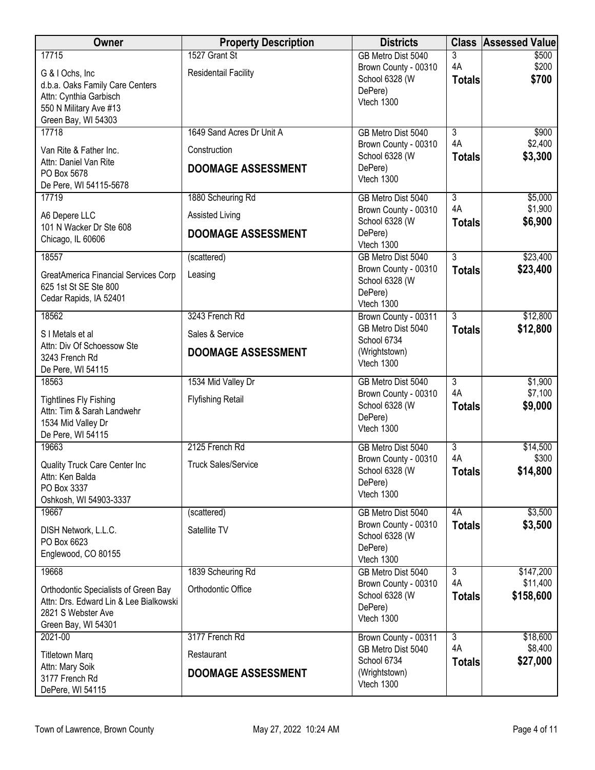| Owner                                                                                                                                   | <b>Property Description</b>                                            | <b>Districts</b>                                                                         |                                       | <b>Class Assessed Value</b>        |
|-----------------------------------------------------------------------------------------------------------------------------------------|------------------------------------------------------------------------|------------------------------------------------------------------------------------------|---------------------------------------|------------------------------------|
| 17715<br>G & I Ochs, Inc.<br>d.b.a. Oaks Family Care Centers<br>Attn: Cynthia Garbisch<br>550 N Military Ave #13<br>Green Bay, WI 54303 | 1527 Grant St<br>Residentail Facility                                  | GB Metro Dist 5040<br>Brown County - 00310<br>School 6328 (W<br>DePere)<br>Vtech 1300    | 3<br>4A<br><b>Totals</b>              | \$500<br>\$200<br>\$700            |
| 17718<br>Van Rite & Father Inc.<br>Attn: Daniel Van Rite<br>PO Box 5678<br>De Pere, WI 54115-5678                                       | 1649 Sand Acres Dr Unit A<br>Construction<br><b>DOOMAGE ASSESSMENT</b> | GB Metro Dist 5040<br>Brown County - 00310<br>School 6328 (W<br>DePere)<br>Vtech 1300    | $\overline{3}$<br>4A<br><b>Totals</b> | \$900<br>\$2,400<br>\$3,300        |
| 17719<br>A6 Depere LLC<br>101 N Wacker Dr Ste 608<br>Chicago, IL 60606                                                                  | 1880 Scheuring Rd<br>Assisted Living<br><b>DOOMAGE ASSESSMENT</b>      | GB Metro Dist 5040<br>Brown County - 00310<br>School 6328 (W<br>DePere)<br>Vtech 1300    | $\overline{3}$<br>4A<br><b>Totals</b> | \$5,000<br>\$1,900<br>\$6,900      |
| 18557<br>GreatAmerica Financial Services Corp<br>625 1st St SE Ste 800<br>Cedar Rapids, IA 52401                                        | (scattered)<br>Leasing                                                 | GB Metro Dist 5040<br>Brown County - 00310<br>School 6328 (W<br>DePere)<br>Vtech 1300    | $\overline{3}$<br><b>Totals</b>       | \$23,400<br>\$23,400               |
| 18562<br>S I Metals et al<br>Attn: Div Of Schoessow Ste<br>3243 French Rd<br>De Pere, WI 54115                                          | 3243 French Rd<br>Sales & Service<br><b>DOOMAGE ASSESSMENT</b>         | Brown County - 00311<br>GB Metro Dist 5040<br>School 6734<br>(Wrightstown)<br>Vtech 1300 | $\overline{3}$<br><b>Totals</b>       | \$12,800<br>\$12,800               |
| 18563<br><b>Tightlines Fly Fishing</b><br>Attn: Tim & Sarah Landwehr<br>1534 Mid Valley Dr<br>De Pere, WI 54115                         | 1534 Mid Valley Dr<br><b>Flyfishing Retail</b>                         | GB Metro Dist 5040<br>Brown County - 00310<br>School 6328 (W<br>DePere)<br>Vtech 1300    | $\overline{3}$<br>4A<br><b>Totals</b> | \$1,900<br>\$7,100<br>\$9,000      |
| 19663<br>Quality Truck Care Center Inc<br>Attn: Ken Balda<br>PO Box 3337<br>Oshkosh, WI 54903-3337                                      | 2125 French Rd<br><b>Truck Sales/Service</b>                           | GB Metro Dist 5040<br>Brown County - 00310<br>School 6328 (W<br>DePere)<br>Vtech 1300    | $\overline{3}$<br>4A<br><b>Totals</b> | \$14,500<br>\$300<br>\$14,800      |
| 19667<br>DISH Network, L.L.C.<br>PO Box 6623<br>Englewood, CO 80155                                                                     | (scattered)<br>Satellite TV                                            | GB Metro Dist 5040<br>Brown County - 00310<br>School 6328 (W<br>DePere)<br>Vtech 1300    | 4A<br><b>Totals</b>                   | \$3,500<br>\$3,500                 |
| 19668<br>Orthodontic Specialists of Green Bay<br>Attn: Drs. Edward Lin & Lee Bialkowski<br>2821 S Webster Ave<br>Green Bay, WI 54301    | 1839 Scheuring Rd<br>Orthodontic Office                                | GB Metro Dist 5040<br>Brown County - 00310<br>School 6328 (W<br>DePere)<br>Vtech 1300    | دی<br>4A<br><b>Totals</b>             | \$147,200<br>\$11,400<br>\$158,600 |
| 2021-00<br><b>Titletown Marq</b><br>Attn: Mary Soik<br>3177 French Rd<br>DePere, WI 54115                                               | 3177 French Rd<br>Restaurant<br><b>DOOMAGE ASSESSMENT</b>              | Brown County - 00311<br>GB Metro Dist 5040<br>School 6734<br>(Wrightstown)<br>Vtech 1300 | $\overline{3}$<br>4A<br><b>Totals</b> | \$18,600<br>\$8,400<br>\$27,000    |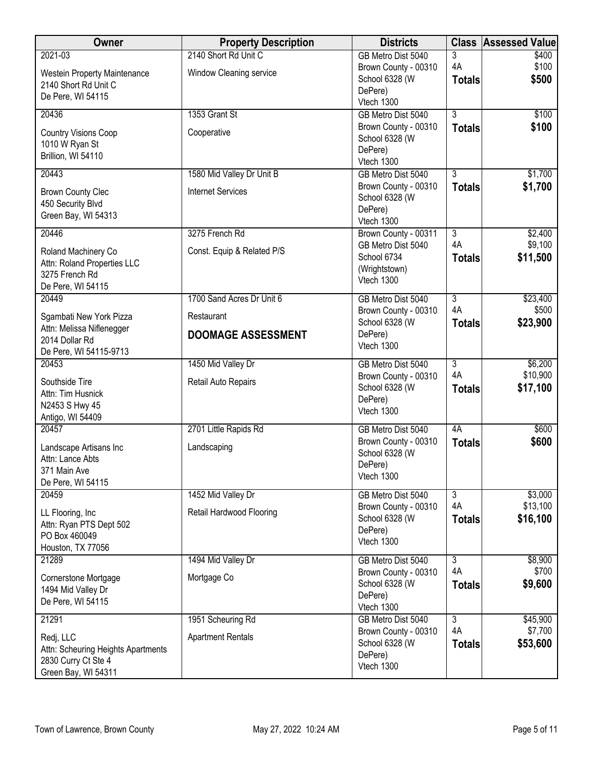| Owner                                                                                         | <b>Property Description</b>             | <b>Districts</b>                                                 |                     | <b>Class Assessed Value</b> |
|-----------------------------------------------------------------------------------------------|-----------------------------------------|------------------------------------------------------------------|---------------------|-----------------------------|
| 2021-03                                                                                       | 2140 Short Rd Unit C                    | GB Metro Dist 5040                                               | 3                   | \$400                       |
| <b>Westein Property Maintenance</b><br>2140 Short Rd Unit C<br>De Pere, WI 54115              | Window Cleaning service                 | Brown County - 00310<br>School 6328 (W<br>DePere)                | 4A<br><b>Totals</b> | \$100<br>\$500              |
| 20436                                                                                         | 1353 Grant St                           | Vtech 1300<br>GB Metro Dist 5040                                 | $\overline{3}$      | \$100                       |
|                                                                                               |                                         | Brown County - 00310                                             | <b>Totals</b>       | \$100                       |
| <b>Country Visions Coop</b><br>1010 W Ryan St<br>Brillion, WI 54110                           | Cooperative                             | School 6328 (W<br>DePere)<br>Vtech 1300                          |                     |                             |
| 20443                                                                                         | 1580 Mid Valley Dr Unit B               | GB Metro Dist 5040                                               | $\overline{3}$      | \$1,700                     |
| <b>Brown County Clec</b><br>450 Security Blvd<br>Green Bay, WI 54313                          | <b>Internet Services</b>                | Brown County - 00310<br>School 6328 (W<br>DePere)<br>Vtech 1300  | <b>Totals</b>       | \$1,700                     |
| 20446                                                                                         | 3275 French Rd                          | Brown County - 00311                                             | $\overline{3}$      | \$2,400                     |
| Roland Machinery Co<br>Attn: Roland Properties LLC<br>3275 French Rd<br>De Pere, WI 54115     | Const. Equip & Related P/S              | GB Metro Dist 5040<br>School 6734<br>(Wrightstown)<br>Vtech 1300 | 4A<br><b>Totals</b> | \$9,100<br>\$11,500         |
| 20449                                                                                         | 1700 Sand Acres Dr Unit 6               | GB Metro Dist 5040                                               | $\overline{3}$      | \$23,400                    |
| Sgambati New York Pizza<br>Attn: Melissa Niflenegger                                          | Restaurant<br><b>DOOMAGE ASSESSMENT</b> | Brown County - 00310<br>School 6328 (W<br>DePere)                | 4A<br><b>Totals</b> | \$500<br>\$23,900           |
| 2014 Dollar Rd<br>De Pere, WI 54115-9713                                                      |                                         | Vtech 1300                                                       |                     |                             |
| 20453                                                                                         | 1450 Mid Valley Dr                      | GB Metro Dist 5040                                               | $\overline{3}$      | \$6,200                     |
| Southside Tire<br>Attn: Tim Husnick<br>N2453 S Hwy 45<br>Antigo, WI 54409                     | Retail Auto Repairs                     | Brown County - 00310<br>School 6328 (W<br>DePere)<br>Vtech 1300  | 4A<br><b>Totals</b> | \$10,900<br>\$17,100        |
| 20457                                                                                         | 2701 Little Rapids Rd                   | GB Metro Dist 5040                                               | 4A                  | \$600                       |
| Landscape Artisans Inc<br>Attn: Lance Abts<br>371 Main Ave<br>De Pere, WI 54115               | Landscaping                             | Brown County - 00310<br>School 6328 (W<br>DePere)<br>Vtech 1300  | <b>Totals</b>       | \$600                       |
| 20459                                                                                         | 1452 Mid Valley Dr                      | GB Metro Dist 5040                                               | $\overline{3}$      | \$3,000                     |
| LL Flooring, Inc.<br>Attn: Ryan PTS Dept 502<br>PO Box 460049<br>Houston, TX 77056            | Retail Hardwood Flooring                | Brown County - 00310<br>School 6328 (W<br>DePere)<br>Vtech 1300  | 4A<br><b>Totals</b> | \$13,100<br>\$16,100        |
| 21289                                                                                         | 1494 Mid Valley Dr                      | GB Metro Dist 5040                                               | $\overline{3}$      | \$8,900                     |
| Cornerstone Mortgage<br>1494 Mid Valley Dr<br>De Pere, WI 54115                               | Mortgage Co                             | Brown County - 00310<br>School 6328 (W<br>DePere)<br>Vtech 1300  | 4A<br><b>Totals</b> | \$700<br>\$9,600            |
| 21291                                                                                         | 1951 Scheuring Rd                       | GB Metro Dist 5040                                               | $\overline{3}$      | \$45,900                    |
| Redj, LLC<br>Attn: Scheuring Heights Apartments<br>2830 Curry Ct Ste 4<br>Green Bay, WI 54311 | <b>Apartment Rentals</b>                | Brown County - 00310<br>School 6328 (W<br>DePere)<br>Vtech 1300  | 4A<br><b>Totals</b> | \$7,700<br>\$53,600         |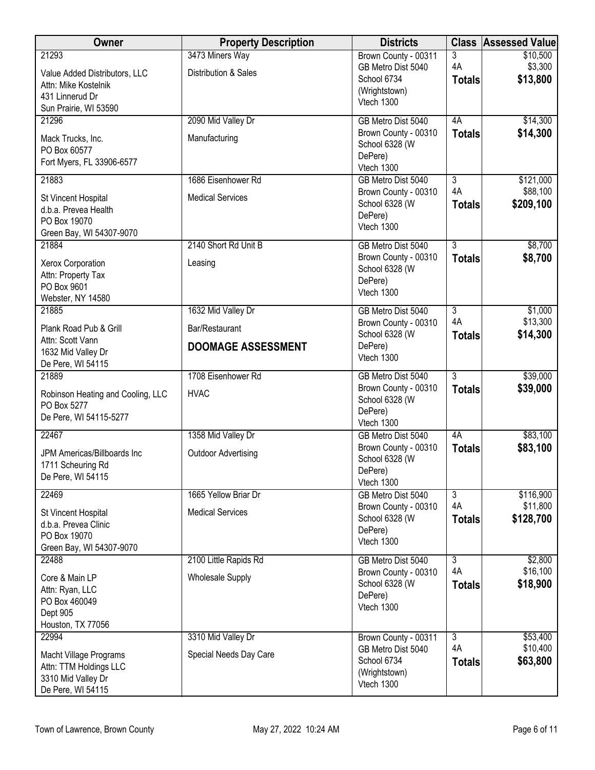| <b>Owner</b>                                                                                               | <b>Property Description</b>                                       | <b>Districts</b>                                                                         |                                       | <b>Class Assessed Value</b>        |
|------------------------------------------------------------------------------------------------------------|-------------------------------------------------------------------|------------------------------------------------------------------------------------------|---------------------------------------|------------------------------------|
| 21293<br>Value Added Distributors, LLC<br>Attn: Mike Kostelnik<br>431 Linnerud Dr<br>Sun Prairie, WI 53590 | 3473 Miners Way<br>Distribution & Sales                           | Brown County - 00311<br>GB Metro Dist 5040<br>School 6734<br>(Wrightstown)<br>Vtech 1300 | 3<br>4A<br><b>Totals</b>              | \$10,500<br>\$3,300<br>\$13,800    |
| 21296<br>Mack Trucks, Inc.<br>PO Box 60577<br>Fort Myers, FL 33906-6577                                    | 2090 Mid Valley Dr<br>Manufacturing                               | GB Metro Dist 5040<br>Brown County - 00310<br>School 6328 (W<br>DePere)<br>Vtech 1300    | 4A<br><b>Totals</b>                   | \$14,300<br>\$14,300               |
| 21883<br>St Vincent Hospital<br>d.b.a. Prevea Health<br>PO Box 19070<br>Green Bay, WI 54307-9070           | 1686 Eisenhower Rd<br><b>Medical Services</b>                     | GB Metro Dist 5040<br>Brown County - 00310<br>School 6328 (W<br>DePere)<br>Vtech 1300    | $\overline{3}$<br>4A<br><b>Totals</b> | \$121,000<br>\$88,100<br>\$209,100 |
| 21884<br>Xerox Corporation<br>Attn: Property Tax<br>PO Box 9601<br>Webster, NY 14580                       | 2140 Short Rd Unit B<br>Leasing                                   | GB Metro Dist 5040<br>Brown County - 00310<br>School 6328 (W<br>DePere)<br>Vtech 1300    | $\overline{3}$<br><b>Totals</b>       | \$8,700<br>\$8,700                 |
| 21885<br>Plank Road Pub & Grill<br>Attn: Scott Vann<br>1632 Mid Valley Dr<br>De Pere, WI 54115             | 1632 Mid Valley Dr<br>Bar/Restaurant<br><b>DOOMAGE ASSESSMENT</b> | GB Metro Dist 5040<br>Brown County - 00310<br>School 6328 (W<br>DePere)<br>Vtech 1300    | $\overline{3}$<br>4A<br><b>Totals</b> | \$1,000<br>\$13,300<br>\$14,300    |
| 21889<br>Robinson Heating and Cooling, LLC<br>PO Box 5277<br>De Pere, WI 54115-5277                        | 1708 Eisenhower Rd<br><b>HVAC</b>                                 | GB Metro Dist 5040<br>Brown County - 00310<br>School 6328 (W<br>DePere)<br>Vtech 1300    | $\overline{3}$<br><b>Totals</b>       | \$39,000<br>\$39,000               |
| 22467<br>JPM Americas/Billboards Inc<br>1711 Scheuring Rd<br>De Pere, WI 54115                             | 1358 Mid Valley Dr<br><b>Outdoor Advertising</b>                  | GB Metro Dist 5040<br>Brown County - 00310<br>School 6328 (W<br>DePere)<br>Vtech 1300    | 4A<br><b>Totals</b>                   | \$83,100<br>\$83,100               |
| 22469<br>St Vincent Hospital<br>d.b.a. Prevea Clinic<br>PO Box 19070<br>Green Bay, WI 54307-9070           | 1665 Yellow Briar Dr<br><b>Medical Services</b>                   | GB Metro Dist 5040<br>Brown County - 00310<br>School 6328 (W<br>DePere)<br>Vtech 1300    | $\overline{3}$<br>4A<br><b>Totals</b> | \$116,900<br>\$11,800<br>\$128,700 |
| 22488<br>Core & Main LP<br>Attn: Ryan, LLC<br>PO Box 460049<br>Dept 905<br>Houston, TX 77056               | 2100 Little Rapids Rd<br><b>Wholesale Supply</b>                  | GB Metro Dist 5040<br>Brown County - 00310<br>School 6328 (W<br>DePere)<br>Vtech 1300    | $\overline{3}$<br>4A<br><b>Totals</b> | \$2,800<br>\$16,100<br>\$18,900    |
| 22994<br>Macht Village Programs<br>Attn: TTM Holdings LLC<br>3310 Mid Valley Dr<br>De Pere, WI 54115       | 3310 Mid Valley Dr<br>Special Needs Day Care                      | Brown County - 00311<br>GB Metro Dist 5040<br>School 6734<br>(Wrightstown)<br>Vtech 1300 | $\overline{3}$<br>4A<br><b>Totals</b> | \$53,400<br>\$10,400<br>\$63,800   |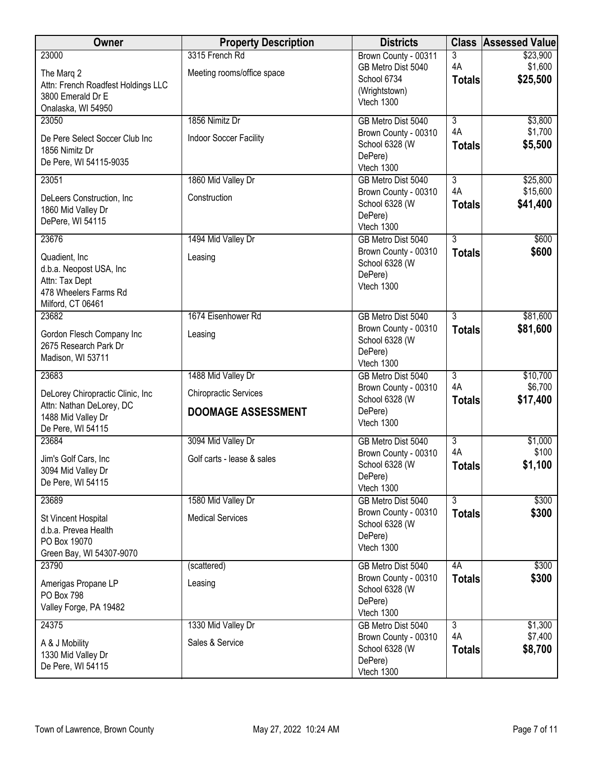| Owner                                                                                                              | <b>Property Description</b>                                                     | <b>Districts</b>                                                                         |                                       | <b>Class Assessed Value</b>      |
|--------------------------------------------------------------------------------------------------------------------|---------------------------------------------------------------------------------|------------------------------------------------------------------------------------------|---------------------------------------|----------------------------------|
| 23000<br>The Marg 2<br>Attn: French Roadfest Holdings LLC<br>3800 Emerald Dr E<br>Onalaska, WI 54950               | 3315 French Rd<br>Meeting rooms/office space                                    | Brown County - 00311<br>GB Metro Dist 5040<br>School 6734<br>(Wrightstown)<br>Vtech 1300 | 3<br>4A<br><b>Totals</b>              | \$23,900<br>\$1,600<br>\$25,500  |
| 23050<br>De Pere Select Soccer Club Inc<br>1856 Nimitz Dr<br>De Pere, WI 54115-9035                                | 1856 Nimitz Dr<br>Indoor Soccer Facility                                        | GB Metro Dist 5040<br>Brown County - 00310<br>School 6328 (W<br>DePere)<br>Vtech 1300    | $\overline{3}$<br>4A<br><b>Totals</b> | \$3,800<br>\$1,700<br>\$5,500    |
| 23051<br>DeLeers Construction, Inc<br>1860 Mid Valley Dr<br>DePere, WI 54115                                       | 1860 Mid Valley Dr<br>Construction                                              | GB Metro Dist 5040<br>Brown County - 00310<br>School 6328 (W<br>DePere)<br>Vtech 1300    | $\overline{3}$<br>4A<br><b>Totals</b> | \$25,800<br>\$15,600<br>\$41,400 |
| 23676<br>Quadient, Inc.<br>d.b.a. Neopost USA, Inc<br>Attn: Tax Dept<br>478 Wheelers Farms Rd<br>Milford, CT 06461 | 1494 Mid Valley Dr<br>Leasing                                                   | GB Metro Dist 5040<br>Brown County - 00310<br>School 6328 (W<br>DePere)<br>Vtech 1300    | $\overline{3}$<br><b>Totals</b>       | \$600<br>\$600                   |
| 23682<br>Gordon Flesch Company Inc<br>2675 Research Park Dr<br>Madison, WI 53711                                   | 1674 Eisenhower Rd<br>Leasing                                                   | GB Metro Dist 5040<br>Brown County - 00310<br>School 6328 (W<br>DePere)<br>Vtech 1300    | $\overline{3}$<br><b>Totals</b>       | \$81,600<br>\$81,600             |
| 23683<br>DeLorey Chiropractic Clinic, Inc<br>Attn: Nathan DeLorey, DC<br>1488 Mid Valley Dr<br>De Pere, WI 54115   | 1488 Mid Valley Dr<br><b>Chiropractic Services</b><br><b>DOOMAGE ASSESSMENT</b> | GB Metro Dist 5040<br>Brown County - 00310<br>School 6328 (W<br>DePere)<br>Vtech 1300    | $\overline{3}$<br>4A<br><b>Totals</b> | \$10,700<br>\$6,700<br>\$17,400  |
| 23684<br>Jim's Golf Cars, Inc<br>3094 Mid Valley Dr<br>De Pere, WI 54115                                           | 3094 Mid Valley Dr<br>Golf carts - lease & sales                                | GB Metro Dist 5040<br>Brown County - 00310<br>School 6328 (W<br>DePere)<br>Vtech 1300    | $\overline{3}$<br>4A<br><b>Totals</b> | \$1,000<br>\$100<br>\$1,100      |
| 23689<br>St Vincent Hospital<br>d.b.a. Prevea Health<br>PO Box 19070<br>Green Bay, WI 54307-9070                   | 1580 Mid Valley Dr<br><b>Medical Services</b>                                   | GB Metro Dist 5040<br>Brown County - 00310<br>School 6328 (W<br>DePere)<br>Vtech 1300    | $\overline{3}$<br><b>Totals</b>       | \$300<br>\$300                   |
| 23790<br>Amerigas Propane LP<br>PO Box 798<br>Valley Forge, PA 19482                                               | (scattered)<br>Leasing                                                          | GB Metro Dist 5040<br>Brown County - 00310<br>School 6328 (W<br>DePere)<br>Vtech 1300    | 4A<br><b>Totals</b>                   | \$300<br>\$300                   |
| 24375<br>A & J Mobility<br>1330 Mid Valley Dr<br>De Pere, WI 54115                                                 | 1330 Mid Valley Dr<br>Sales & Service                                           | GB Metro Dist 5040<br>Brown County - 00310<br>School 6328 (W<br>DePere)<br>Vtech 1300    | $\overline{3}$<br>4A<br><b>Totals</b> | \$1,300<br>\$7,400<br>\$8,700    |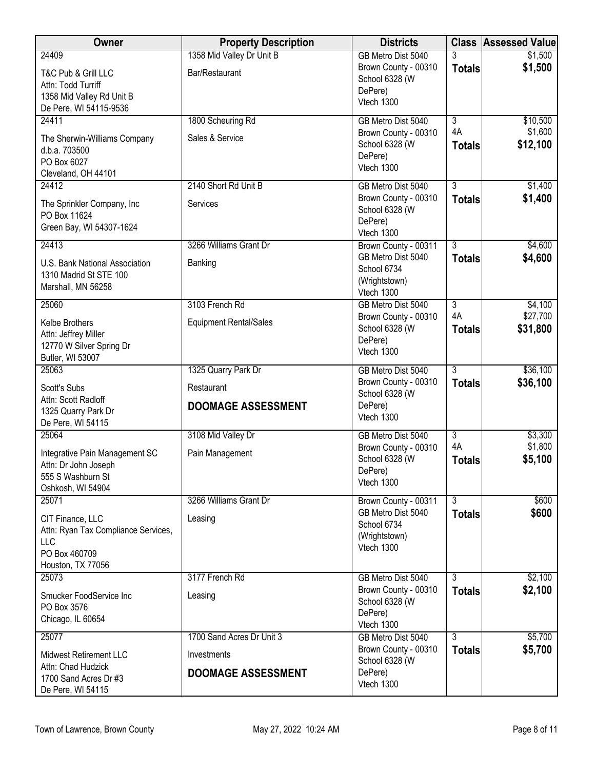| Owner                                                                                                         | <b>Property Description</b>                                           | <b>Districts</b>                                                                         |                                       | <b>Class Assessed Value</b>     |
|---------------------------------------------------------------------------------------------------------------|-----------------------------------------------------------------------|------------------------------------------------------------------------------------------|---------------------------------------|---------------------------------|
| 24409<br>T&C Pub & Grill LLC<br>Attn: Todd Turriff<br>1358 Mid Valley Rd Unit B<br>De Pere, WI 54115-9536     | 1358 Mid Valley Dr Unit B<br>Bar/Restaurant                           | GB Metro Dist 5040<br>Brown County - 00310<br>School 6328 (W<br>DePere)<br>Vtech 1300    | 3<br><b>Totals</b>                    | \$1,500<br>\$1,500              |
| 24411<br>The Sherwin-Williams Company<br>d.b.a. 703500<br>PO Box 6027<br>Cleveland, OH 44101                  | 1800 Scheuring Rd<br>Sales & Service                                  | GB Metro Dist 5040<br>Brown County - 00310<br>School 6328 (W<br>DePere)<br>Vtech 1300    | $\overline{3}$<br>4A<br><b>Totals</b> | \$10,500<br>\$1,600<br>\$12,100 |
| 24412<br>The Sprinkler Company, Inc<br>PO Box 11624<br>Green Bay, WI 54307-1624                               | 2140 Short Rd Unit B<br>Services                                      | GB Metro Dist 5040<br>Brown County - 00310<br>School 6328 (W<br>DePere)<br>Vtech 1300    | $\overline{3}$<br><b>Totals</b>       | \$1,400<br>\$1,400              |
| 24413<br>U.S. Bank National Association<br>1310 Madrid St STE 100<br>Marshall, MN 56258                       | 3266 Williams Grant Dr<br>Banking                                     | Brown County - 00311<br>GB Metro Dist 5040<br>School 6734<br>(Wrightstown)<br>Vtech 1300 | $\overline{3}$<br><b>Totals</b>       | \$4,600<br>\$4,600              |
| 25060<br>Kelbe Brothers<br>Attn: Jeffrey Miller<br>12770 W Silver Spring Dr<br>Butler, WI 53007               | 3103 French Rd<br><b>Equipment Rental/Sales</b>                       | GB Metro Dist 5040<br>Brown County - 00310<br>School 6328 (W<br>DePere)<br>Vtech 1300    | $\overline{3}$<br>4A<br><b>Totals</b> | \$4,100<br>\$27,700<br>\$31,800 |
| 25063<br><b>Scott's Subs</b><br>Attn: Scott Radloff<br>1325 Quarry Park Dr<br>De Pere, WI 54115               | 1325 Quarry Park Dr<br>Restaurant<br><b>DOOMAGE ASSESSMENT</b>        | GB Metro Dist 5040<br>Brown County - 00310<br>School 6328 (W<br>DePere)<br>Vtech 1300    | $\overline{3}$<br><b>Totals</b>       | \$36,100<br>\$36,100            |
| 25064<br>Integrative Pain Management SC<br>Attn: Dr John Joseph<br>555 S Washburn St<br>Oshkosh, WI 54904     | 3108 Mid Valley Dr<br>Pain Management                                 | GB Metro Dist 5040<br>Brown County - 00310<br>School 6328 (W<br>DePere)<br>Vtech 1300    | 3<br>4A<br><b>Totals</b>              | \$3,300<br>\$1,800<br>\$5,100   |
| 25071<br>CIT Finance, LLC<br>Attn: Ryan Tax Compliance Services,<br>LLC<br>PO Box 460709<br>Houston, TX 77056 | 3266 Williams Grant Dr<br>Leasing                                     | Brown County - 00311<br>GB Metro Dist 5040<br>School 6734<br>(Wrightstown)<br>Vtech 1300 | $\overline{3}$<br><b>Totals</b>       | \$600<br>\$600                  |
| 25073<br>Smucker FoodService Inc<br>PO Box 3576<br>Chicago, IL 60654                                          | 3177 French Rd<br>Leasing                                             | GB Metro Dist 5040<br>Brown County - 00310<br>School 6328 (W<br>DePere)<br>Vtech 1300    | $\overline{3}$<br><b>Totals</b>       | \$2,100<br>\$2,100              |
| 25077<br>Midwest Retirement LLC<br>Attn: Chad Hudzick<br>1700 Sand Acres Dr #3<br>De Pere, WI 54115           | 1700 Sand Acres Dr Unit 3<br>Investments<br><b>DOOMAGE ASSESSMENT</b> | GB Metro Dist 5040<br>Brown County - 00310<br>School 6328 (W<br>DePere)<br>Vtech 1300    | 3<br><b>Totals</b>                    | \$5,700<br>\$5,700              |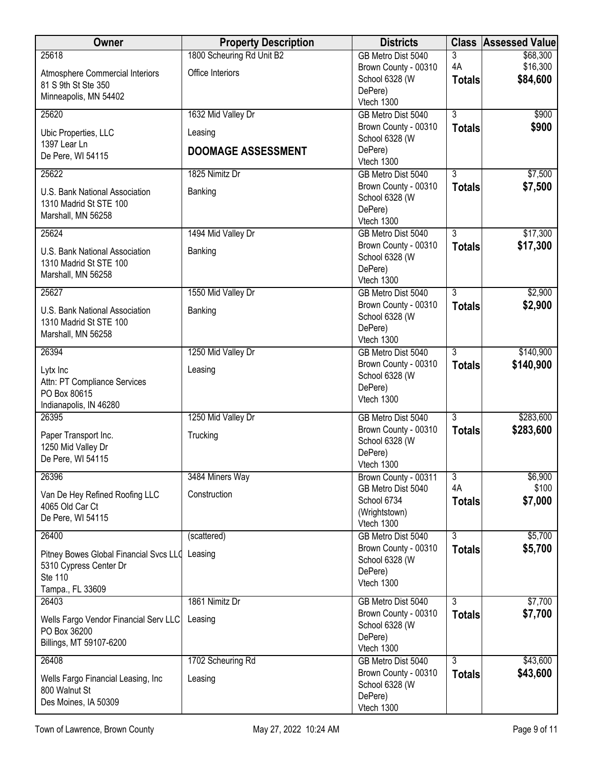| Owner                                                                          | <b>Property Description</b> | <b>Districts</b>                                                |                                 | <b>Class Assessed Value</b> |
|--------------------------------------------------------------------------------|-----------------------------|-----------------------------------------------------------------|---------------------------------|-----------------------------|
| 25618                                                                          | 1800 Scheuring Rd Unit B2   | GB Metro Dist 5040                                              | 3                               | \$68,300                    |
| <b>Atmosphere Commercial Interiors</b>                                         | Office Interiors            | Brown County - 00310<br>School 6328 (W                          | 4A                              | \$16,300<br>\$84,600        |
| 81 S 9th St Ste 350                                                            |                             | DePere)                                                         | <b>Totals</b>                   |                             |
| Minneapolis, MN 54402                                                          |                             | Vtech 1300                                                      |                                 |                             |
| 25620                                                                          | 1632 Mid Valley Dr          | GB Metro Dist 5040                                              | $\overline{3}$                  | \$900                       |
| Ubic Properties, LLC<br>1397 Lear Ln                                           | Leasing                     | Brown County - 00310<br>School 6328 (W                          | <b>Totals</b>                   | \$900                       |
| De Pere, WI 54115                                                              | <b>DOOMAGE ASSESSMENT</b>   | DePere)<br>Vtech 1300                                           |                                 |                             |
| 25622                                                                          | 1825 Nimitz Dr              | GB Metro Dist 5040                                              | $\overline{3}$                  | \$7,500                     |
| U.S. Bank National Association<br>1310 Madrid St STE 100<br>Marshall, MN 56258 | Banking                     | Brown County - 00310<br>School 6328 (W<br>DePere)<br>Vtech 1300 | <b>Totals</b>                   | \$7,500                     |
| 25624                                                                          | 1494 Mid Valley Dr          | GB Metro Dist 5040                                              | $\overline{3}$                  | \$17,300                    |
| U.S. Bank National Association                                                 | Banking                     | Brown County - 00310                                            | <b>Totals</b>                   | \$17,300                    |
| 1310 Madrid St STE 100                                                         |                             | School 6328 (W                                                  |                                 |                             |
| Marshall, MN 56258                                                             |                             | DePere)<br>Vtech 1300                                           |                                 |                             |
| 25627                                                                          | 1550 Mid Valley Dr          | GB Metro Dist 5040                                              | $\overline{3}$                  | \$2,900                     |
| U.S. Bank National Association                                                 | Banking                     | Brown County - 00310                                            | <b>Totals</b>                   | \$2,900                     |
| 1310 Madrid St STE 100                                                         |                             | School 6328 (W                                                  |                                 |                             |
| Marshall, MN 56258                                                             |                             | DePere)<br>Vtech 1300                                           |                                 |                             |
| 26394                                                                          | 1250 Mid Valley Dr          | GB Metro Dist 5040                                              | $\overline{3}$                  | \$140,900                   |
| Lytx Inc                                                                       | Leasing                     | Brown County - 00310                                            | <b>Totals</b>                   | \$140,900                   |
| Attn: PT Compliance Services                                                   |                             | School 6328 (W<br>DePere)                                       |                                 |                             |
| PO Box 80615                                                                   |                             | Vtech 1300                                                      |                                 |                             |
| Indianapolis, IN 46280<br>26395                                                | 1250 Mid Valley Dr          | GB Metro Dist 5040                                              | $\overline{3}$                  | \$283,600                   |
|                                                                                |                             | Brown County - 00310                                            | <b>Totals</b>                   | \$283,600                   |
| Paper Transport Inc.<br>1250 Mid Valley Dr                                     | Trucking                    | School 6328 (W                                                  |                                 |                             |
| De Pere, WI 54115                                                              |                             | DePere)                                                         |                                 |                             |
| 26396                                                                          | 3484 Miners Way             | Vtech 1300<br>Brown County - 00311                              | $\overline{3}$                  | \$6,900                     |
|                                                                                |                             | GB Metro Dist 5040                                              | 4A                              | \$100                       |
| Van De Hey Refined Roofing LLC<br>4065 Old Car Ct                              | Construction                | School 6734                                                     | <b>Totals</b>                   | \$7,000                     |
| De Pere, WI 54115                                                              |                             | (Wrightstown)                                                   |                                 |                             |
| 26400                                                                          | (scattered)                 | Vtech 1300<br>GB Metro Dist 5040                                | $\overline{3}$                  | \$5,700                     |
|                                                                                |                             | Brown County - 00310                                            | <b>Totals</b>                   | \$5,700                     |
| Pitney Bowes Global Financial Svcs LLC Leasing<br>5310 Cypress Center Dr       |                             | School 6328 (W                                                  |                                 |                             |
| Ste 110                                                                        |                             | DePere)<br>Vtech 1300                                           |                                 |                             |
| Tampa., FL 33609                                                               |                             |                                                                 |                                 |                             |
| 26403                                                                          | 1861 Nimitz Dr              | GB Metro Dist 5040<br>Brown County - 00310                      | $\overline{3}$<br><b>Totals</b> | \$7,700<br>\$7,700          |
| Wells Fargo Vendor Financial Serv LLC                                          | Leasing                     | School 6328 (W                                                  |                                 |                             |
| PO Box 36200<br>Billings, MT 59107-6200                                        |                             | DePere)                                                         |                                 |                             |
|                                                                                |                             | Vtech 1300                                                      |                                 |                             |
| 26408                                                                          | 1702 Scheuring Rd           | GB Metro Dist 5040<br>Brown County - 00310                      | $\overline{3}$<br><b>Totals</b> | \$43,600<br>\$43,600        |
| Wells Fargo Financial Leasing, Inc<br>800 Walnut St                            | Leasing                     | School 6328 (W                                                  |                                 |                             |
| Des Moines, IA 50309                                                           |                             | DePere)                                                         |                                 |                             |
|                                                                                |                             | Vtech 1300                                                      |                                 |                             |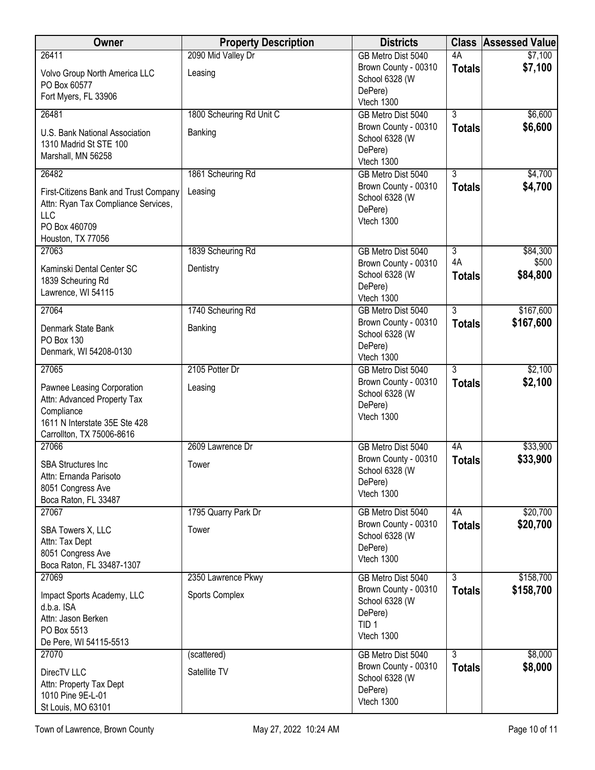| <b>Owner</b>                                                                                                                          | <b>Property Description</b> | <b>Districts</b>                                                                    |                     | <b>Class Assessed Value</b> |
|---------------------------------------------------------------------------------------------------------------------------------------|-----------------------------|-------------------------------------------------------------------------------------|---------------------|-----------------------------|
| 26411                                                                                                                                 | 2090 Mid Valley Dr          | GB Metro Dist 5040                                                                  | 4A                  | \$7,100                     |
| Volvo Group North America LLC<br>PO Box 60577                                                                                         | Leasing                     | Brown County - 00310<br>School 6328 (W<br>DePere)                                   | <b>Totals</b>       | \$7,100                     |
| Fort Myers, FL 33906                                                                                                                  |                             | Vtech 1300                                                                          |                     |                             |
| 26481                                                                                                                                 | 1800 Scheuring Rd Unit C    | GB Metro Dist 5040                                                                  | 3                   | \$6,600                     |
| U.S. Bank National Association<br>1310 Madrid St STE 100<br>Marshall, MN 56258                                                        | Banking                     | Brown County - 00310<br>School 6328 (W<br>DePere)<br>Vtech 1300                     | <b>Totals</b>       | \$6,600                     |
| 26482                                                                                                                                 | 1861 Scheuring Rd           | GB Metro Dist 5040                                                                  | $\overline{3}$      | \$4,700                     |
| First-Citizens Bank and Trust Company<br>Attn: Ryan Tax Compliance Services,<br><b>LLC</b><br>PO Box 460709<br>Houston, TX 77056      | Leasing                     | Brown County - 00310<br>School 6328 (W<br>DePere)<br>Vtech 1300                     | <b>Totals</b>       | \$4,700                     |
| 27063                                                                                                                                 | 1839 Scheuring Rd           | GB Metro Dist 5040                                                                  | $\overline{3}$      | \$84,300                    |
| Kaminski Dental Center SC<br>1839 Scheuring Rd<br>Lawrence, WI 54115                                                                  | Dentistry                   | Brown County - 00310<br>School 6328 (W<br>DePere)<br>Vtech 1300                     | 4A<br><b>Totals</b> | \$500<br>\$84,800           |
| 27064                                                                                                                                 | 1740 Scheuring Rd           | GB Metro Dist 5040                                                                  | $\overline{3}$      | \$167,600                   |
| Denmark State Bank<br>PO Box 130<br>Denmark, WI 54208-0130                                                                            | Banking                     | Brown County - 00310<br>School 6328 (W<br>DePere)<br>Vtech 1300                     | <b>Totals</b>       | \$167,600                   |
| 27065                                                                                                                                 | 2105 Potter Dr              | GB Metro Dist 5040                                                                  | $\overline{3}$      | \$2,100                     |
| Pawnee Leasing Corporation<br>Attn: Advanced Property Tax<br>Compliance<br>1611 N Interstate 35E Ste 428<br>Carrollton, TX 75006-8616 | Leasing                     | Brown County - 00310<br>School 6328 (W<br>DePere)<br>Vtech 1300                     | <b>Totals</b>       | \$2,100                     |
| 27066                                                                                                                                 | 2609 Lawrence Dr            | GB Metro Dist 5040                                                                  | 4A                  | \$33,900                    |
| <b>SBA Structures Inc.</b><br>Attn: Ernanda Parisoto<br>8051 Congress Ave<br>Boca Raton, FL 33487                                     | Tower                       | Brown County - 00310<br>School 6328 (W<br>DePere)<br>Vtech 1300                     | <b>Totals</b>       | \$33,900                    |
| 27067                                                                                                                                 | 1795 Quarry Park Dr         | GB Metro Dist 5040                                                                  | 4A                  | \$20,700                    |
| SBA Towers X, LLC<br>Attn: Tax Dept<br>8051 Congress Ave<br>Boca Raton, FL 33487-1307                                                 | Tower                       | Brown County - 00310<br>School 6328 (W<br>DePere)<br>Vtech 1300                     | <b>Totals</b>       | \$20,700                    |
| 27069                                                                                                                                 | 2350 Lawrence Pkwy          | GB Metro Dist 5040                                                                  | $\overline{3}$      | \$158,700                   |
| Impact Sports Academy, LLC<br>d.b.a. ISA<br>Attn: Jason Berken<br>PO Box 5513<br>De Pere, WI 54115-5513                               | Sports Complex              | Brown County - 00310<br>School 6328 (W<br>DePere)<br>TID <sub>1</sub><br>Vtech 1300 | <b>Totals</b>       | \$158,700                   |
| 27070                                                                                                                                 | (scattered)                 | GB Metro Dist 5040                                                                  | $\overline{3}$      | \$8,000                     |
| DirecTV LLC<br>Attn: Property Tax Dept<br>1010 Pine 9E-L-01<br>St Louis, MO 63101                                                     | Satellite TV                | Brown County - 00310<br>School 6328 (W<br>DePere)<br>Vtech 1300                     | <b>Totals</b>       | \$8,000                     |